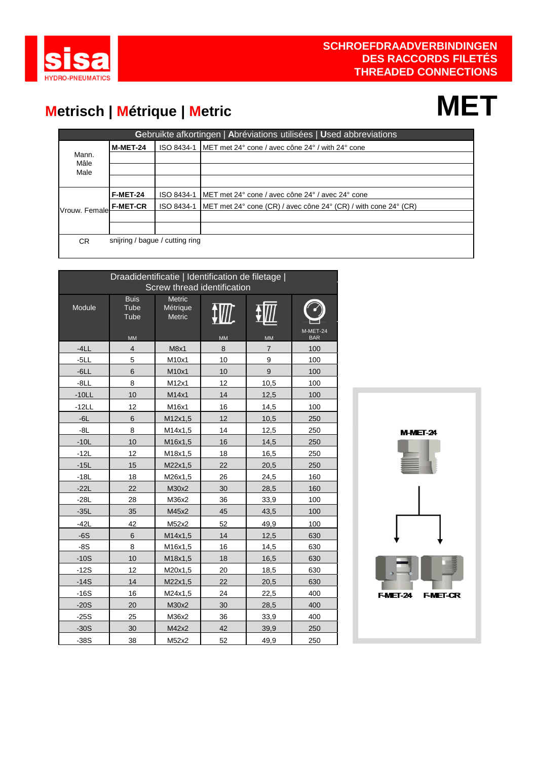

### **Metrisch | Métrique | Metric MET**

|                 | Gebruikte afkortingen   Abréviations utilisées   Used abbreviations |                                 |                                                                                         |  |  |  |  |  |  |
|-----------------|---------------------------------------------------------------------|---------------------------------|-----------------------------------------------------------------------------------------|--|--|--|--|--|--|
|                 | <b>M-MET-24</b>                                                     |                                 | ISO 8434-1 IMET met 24 $\degree$ cone / avec cône 24 $\degree$ / with 24 $\degree$ cone |  |  |  |  |  |  |
| Mann.<br>Mâle   |                                                                     |                                 |                                                                                         |  |  |  |  |  |  |
| Male            |                                                                     |                                 |                                                                                         |  |  |  |  |  |  |
|                 |                                                                     |                                 |                                                                                         |  |  |  |  |  |  |
|                 | <b>F-MET-24</b>                                                     | ISO 8434-1                      | IMET met 24° cone / avec cône 24° / avec 24° cone                                       |  |  |  |  |  |  |
| lVrouw. Femalel | <b>F-MET-CR</b>                                                     | ISO 8434-1                      | [MET met 24° cone (CR) / avec cône 24° (CR) / with cone 24° (CR)                        |  |  |  |  |  |  |
|                 |                                                                     |                                 |                                                                                         |  |  |  |  |  |  |
|                 |                                                                     |                                 |                                                                                         |  |  |  |  |  |  |
| CR.             |                                                                     | snijring / bague / cutting ring |                                                                                         |  |  |  |  |  |  |
|                 |                                                                     |                                 |                                                                                         |  |  |  |  |  |  |

|         | Draadidentificatie   Identification de filetage  <br>Screw thread identification |                                            |           |                |                        |  |  |  |  |
|---------|----------------------------------------------------------------------------------|--------------------------------------------|-----------|----------------|------------------------|--|--|--|--|
| Module  | <b>Buis</b><br>Tube<br>Tube<br><b>MM</b>                                         | <b>Metric</b><br>Métrique<br><b>Metric</b> | <b>MM</b> | <b>MM</b>      | M-MET-24<br><b>BAR</b> |  |  |  |  |
| $-4LL$  | $\overline{4}$                                                                   | M8x1                                       | 8         | $\overline{7}$ | 100                    |  |  |  |  |
| $-5LL$  | 5                                                                                | M10x1                                      | 10        | 9              | 100                    |  |  |  |  |
| $-6LL$  | 6                                                                                | M10x1                                      | 10        | 9              | 100                    |  |  |  |  |
| $-8LL$  | 8                                                                                | M12x1                                      | 12        | 10,5           | 100                    |  |  |  |  |
| $-10LL$ | 10                                                                               | M14x1                                      | 14        | 12,5           | 100                    |  |  |  |  |
| $-12LL$ | 12                                                                               | M16x1                                      | 16        | 14,5           | 100                    |  |  |  |  |
| $-6L$   | $6\phantom{1}$                                                                   | M12x1,5                                    | 12        | 10,5           | 250                    |  |  |  |  |
| $-8L$   | 8                                                                                | M14x1,5                                    | 14        | 12,5           | 250                    |  |  |  |  |
| $-10L$  | 10                                                                               | M16x1,5                                    | 16        | 14,5           | 250                    |  |  |  |  |
| $-12L$  | 12                                                                               | M18x1,5                                    | 18        | 16,5           | 250                    |  |  |  |  |
| $-15L$  | 15                                                                               | M22x1,5                                    | 22        | 20,5           | 250                    |  |  |  |  |
| $-18L$  | 18                                                                               | M26x1,5                                    | 26        | 24,5           | 160                    |  |  |  |  |
| $-22L$  | 22                                                                               | M30x2                                      | 30        | 28,5           | 160                    |  |  |  |  |
| $-28L$  | 28                                                                               | M36x2                                      | 36        | 33,9           | 100                    |  |  |  |  |
| $-35L$  | 35                                                                               | M45x2                                      | 45        | 43,5           | 100                    |  |  |  |  |
| $-42L$  | 42                                                                               | M52x2                                      | 52        | 49,9           | 100                    |  |  |  |  |
| $-6S$   | 6                                                                                | M14x1,5                                    | 14        | 12,5           | 630                    |  |  |  |  |
| $-8S$   | 8                                                                                | M16x1,5                                    | 16        | 14,5           | 630                    |  |  |  |  |
| $-10S$  | 10                                                                               | M18x1,5                                    | 18        | 16,5           | 630                    |  |  |  |  |
| $-12S$  | 12                                                                               | M20x1,5                                    | 20        | 18,5           | 630                    |  |  |  |  |
| $-14S$  | 14                                                                               | M22x1,5                                    | 22        | 20,5           | 630                    |  |  |  |  |
| $-16S$  | 16                                                                               | M24x1,5                                    | 24        | 22,5           | 400                    |  |  |  |  |
| $-20S$  | 20                                                                               | M30x2                                      | 30        | 28,5           | 400                    |  |  |  |  |
| $-25S$  | 25                                                                               | M36x2                                      | 36        | 33,9           | 400                    |  |  |  |  |
| $-30S$  | 30                                                                               | M42x2                                      | 42        | 39,9           | 250                    |  |  |  |  |
| $-38S$  | 38                                                                               | M52x2                                      | 52        | 49,9           | 250                    |  |  |  |  |

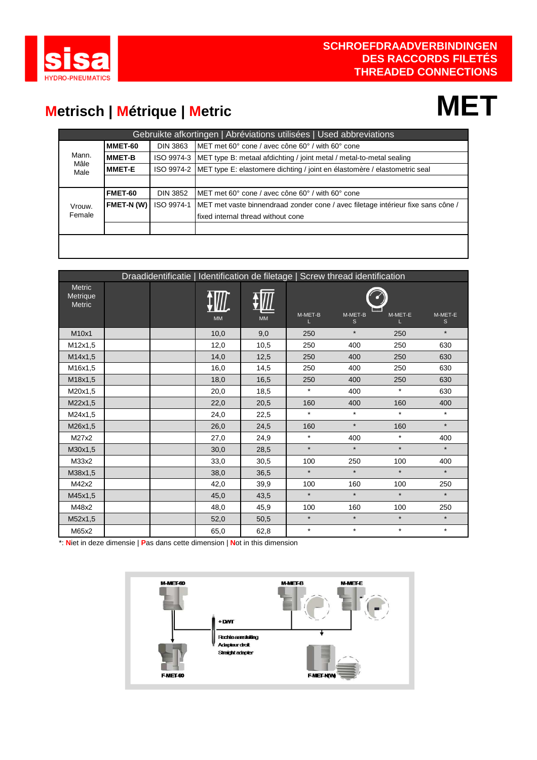

### **Metrisch | Métrique | Metric**

### **MET**

|              |               |                 | Gebruikte afkortingen   Abréviations utilisées   Used abbreviations                    |
|--------------|---------------|-----------------|----------------------------------------------------------------------------------------|
|              | MMET-60       | DIN 3863        | IMET met 60° cone / avec cône 60° / with 60° cone                                      |
| Mann.        | <b>MMET-B</b> |                 | ISO 9974-3 MET type B: metaal afdichting / joint metal / metal-to-metal sealing        |
| Mâle<br>Male | <b>MMET-E</b> |                 | ISO 9974-2   MET type E: elastomere dichting / joint en élastomère / elastometric seal |
|              |               |                 |                                                                                        |
|              | FMET-60       | <b>DIN 3852</b> | IMET met 60° cone / avec cône 60° / with 60° cone                                      |
| Vrouw.       | FMET-N(W)     | ISO 9974-1      | MET met vaste binnendraad zonder cone / avec filetage intérieur fixe sans cône /       |
| Female       |               |                 | I fixed internal thread without cone                                                   |
|              |               |                 |                                                                                        |
|              |               |                 |                                                                                        |
|              |               |                 |                                                                                        |

|                                     |  |  |           | Draadidentificatie   Identification de filetage   Screw thread identification |         |              |         |                         |
|-------------------------------------|--|--|-----------|-------------------------------------------------------------------------------|---------|--------------|---------|-------------------------|
| <b>Metric</b><br>Metrique<br>Metric |  |  |           |                                                                               |         |              |         |                         |
|                                     |  |  | <b>MM</b> | <b>MM</b>                                                                     | M-MET-B | M-MET-B<br>S | M-MET-E | M-MET-E<br>$\mathsf{s}$ |
| M10x1                               |  |  | 10,0      | 9,0                                                                           | 250     | $\star$      | 250     | $\star$                 |
| M12x1,5                             |  |  | 12,0      | 10,5                                                                          | 250     | 400          | 250     | 630                     |
| M14x1,5                             |  |  | 14,0      | 12,5                                                                          | 250     | 400          | 250     | 630                     |
| M16x1,5                             |  |  | 16,0      | 14,5                                                                          | 250     | 400          | 250     | 630                     |
| M18x1,5                             |  |  | 18,0      | 16,5                                                                          | 250     | 400          | 250     | 630                     |
| M20x1,5                             |  |  | 20,0      | 18,5                                                                          | $\star$ | 400          | $\star$ | 630                     |
| M22x1,5                             |  |  | 22,0      | 20,5                                                                          | 160     | 400          | 160     | 400                     |
| M24x1,5                             |  |  | 24,0      | 22,5                                                                          | $\star$ | $\star$      | $\star$ | $\star$                 |
| M26x1,5                             |  |  | 26,0      | 24,5                                                                          | 160     | $\star$      | 160     | $\star$                 |
| M27x2                               |  |  | 27,0      | 24,9                                                                          | $\star$ | 400          | $\star$ | 400                     |
| M30x1,5                             |  |  | 30,0      | 28,5                                                                          | $\star$ | $\star$      | $\star$ | $\star$                 |
| M33x2                               |  |  | 33,0      | 30,5                                                                          | 100     | 250          | 100     | 400                     |
| M38x1,5                             |  |  | 38,0      | 36,5                                                                          | $\star$ | $\star$      | $\star$ | $\star$                 |
| M42x2                               |  |  | 42,0      | 39,9                                                                          | 100     | 160          | 100     | 250                     |
| M45x1,5                             |  |  | 45,0      | 43,5                                                                          | $\star$ | $\star$      | $\star$ | $\star$                 |
| M48x2                               |  |  | 48,0      | 45,9                                                                          | 100     | 160          | 100     | 250                     |
| M52x1,5                             |  |  | 52,0      | 50,5                                                                          | $\star$ | $\star$      | $\star$ | $\star$                 |
| M65x2                               |  |  | 65,0      | 62,8                                                                          | $\star$ | $\star$      | $\star$ | $\star$                 |

\*: **N**iet in deze dimensie | **P**as dans cette dimension | **N**ot in this dimension

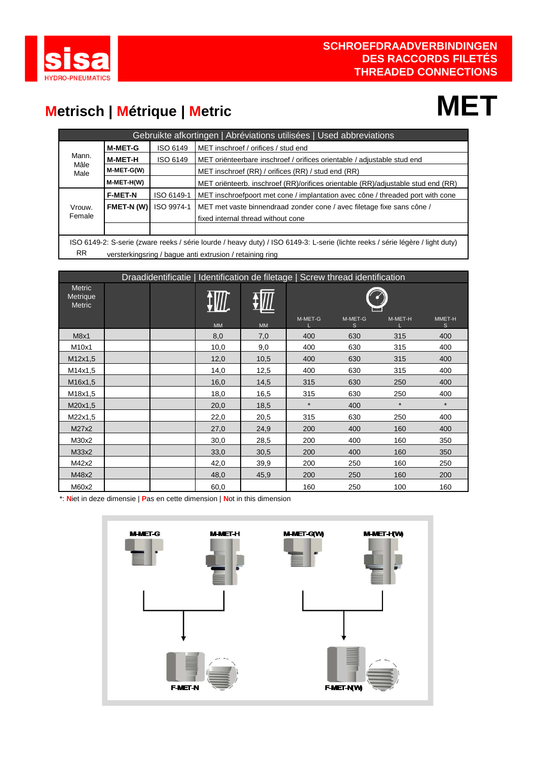

### **Metrisch | Métrique | Metric MET**

|                            |                |            | Gebruikte afkortingen   Abréviations utilisées   Used abbreviations                                                            |  |  |  |  |
|----------------------------|----------------|------------|--------------------------------------------------------------------------------------------------------------------------------|--|--|--|--|
| <b>M-MET-G</b><br>ISO 6149 |                |            | MET inschroef / orifices / stud end                                                                                            |  |  |  |  |
| Mann.<br>Mâle              | M-MET-H        | ISO 6149   | MET oriënteerbare inschroef / orifices orientable / adjustable stud end                                                        |  |  |  |  |
| Male                       | M-MET-G(W)     |            | MET inschroef (RR) / orifices (RR) / stud end (RR)                                                                             |  |  |  |  |
|                            | M-MET-H(W)     |            | MET oriënteerb. inschroef (RR)/orifices orientable (RR)/adjustable stud end (RR)                                               |  |  |  |  |
|                            | <b>F-MET-N</b> | ISO 6149-1 | MET inschroefpoort met cone / implantation avec cône / threaded port with cone                                                 |  |  |  |  |
| Vrouw.                     | FMET-N(W)      | ISO 9974-1 | MET met vaste binnendraad zonder cone / avec filetage fixe sans cône /                                                         |  |  |  |  |
| Female                     |                |            | fixed internal thread without cone                                                                                             |  |  |  |  |
|                            |                |            |                                                                                                                                |  |  |  |  |
|                            |                |            | ISO 6149-2: S-serie (zware reeks / série lourde / heavy duty) / ISO 6149-3: L-serie (lichte reeks / série légère / light duty) |  |  |  |  |

RR versterkingsring / bague anti extrusion / retaining ring

|                                     |  |           |           |         | Draadidentificatie   Identification de filetage   Screw thread identification |         |              |
|-------------------------------------|--|-----------|-----------|---------|-------------------------------------------------------------------------------|---------|--------------|
| Metric<br>Metrique<br><b>Metric</b> |  |           |           |         |                                                                               |         |              |
|                                     |  | <b>MM</b> | <b>MM</b> | M-MET-G | M-MET-G<br>S                                                                  | M-MET-H | MMET-H<br>S. |
| M8x1                                |  | 8,0       | 7,0       | 400     | 630                                                                           | 315     | 400          |
| M10x1                               |  | 10,0      | 9,0       | 400     | 630                                                                           | 315     | 400          |
| M12x1,5                             |  | 12,0      | 10,5      | 400     | 630                                                                           | 315     | 400          |
| M14x1,5                             |  | 14,0      | 12,5      | 400     | 630                                                                           | 315     | 400          |
| M16x1,5                             |  | 16,0      | 14,5      | 315     | 630                                                                           | 250     | 400          |
| M18x1,5                             |  | 18,0      | 16,5      | 315     | 630                                                                           | 250     | 400          |
| M20x1,5                             |  | 20,0      | 18,5      | $\star$ | 400                                                                           | $\star$ | $\star$      |
| M22x1,5                             |  | 22,0      | 20,5      | 315     | 630                                                                           | 250     | 400          |
| M27x2                               |  | 27,0      | 24,9      | 200     | 400                                                                           | 160     | 400          |
| M30x2                               |  | 30,0      | 28,5      | 200     | 400                                                                           | 160     | 350          |
| M33x2                               |  | 33,0      | 30,5      | 200     | 400                                                                           | 160     | 350          |
| M42x2                               |  | 42,0      | 39,9      | 200     | 250                                                                           | 160     | 250          |
| M48x2                               |  | 48,0      | 45,9      | 200     | 250                                                                           | 160     | 200          |
| M60x2                               |  | 60,0      |           | 160     | 250                                                                           | 100     | 160          |

\*: **N**iet in deze dimensie | **P**as en cette dimension | **N**ot in this dimension

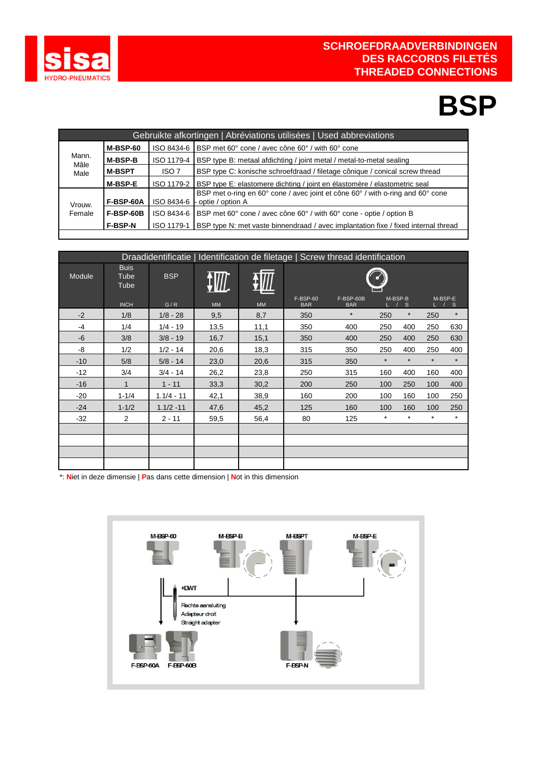

### **BSP**

| Gebruikte afkortingen   Abréviations utilisées   Used abbreviations |                  |                  |                                                                                                                 |  |  |  |  |  |  |
|---------------------------------------------------------------------|------------------|------------------|-----------------------------------------------------------------------------------------------------------------|--|--|--|--|--|--|
|                                                                     | $M-BSP-60$       | ISO 8434-6       | BSP met 60° cone / avec cône 60° / with 60° cone                                                                |  |  |  |  |  |  |
| Mann.<br>Mâle                                                       | <b>M-BSP-B</b>   | ISO 1179-4       | BSP type B: metaal afdichting / joint metal / metal-to-metal sealing                                            |  |  |  |  |  |  |
| Male                                                                | <b>M-BSPT</b>    | ISO <sub>7</sub> | BSP type C: konische schroefdraad / filetage cônique / conical screw thread                                     |  |  |  |  |  |  |
|                                                                     | <b>M-BSP-E</b>   | ISO 1179-2       | <b>BSP</b> type E: elastomere dichting / joint en élastomère / elastometric seal                                |  |  |  |  |  |  |
| Vrouw.                                                              | F-BSP-60A        |                  | BSP met o-ring en 60° cone / avec joint et cône 60° / with o-ring and 60° cone<br>ISO 8434-6   optie / option A |  |  |  |  |  |  |
| Female                                                              | <b>F-BSP-60B</b> | ISO 8434-6       | BSP met 60° cone / avec cône 60° / with 60° cone - optie / option B                                             |  |  |  |  |  |  |
|                                                                     | <b>F-BSP-N</b>   | ISO 1179-1       | <b>BSP</b> type N: met vaste binnendraad / avec implantation fixe / fixed internal thread                       |  |  |  |  |  |  |
|                                                                     |                  |                  |                                                                                                                 |  |  |  |  |  |  |

| Draadidentificatie   Identification de filetage   Screw thread identification |                             |              |           |           |                               |                         |         |          |         |         |
|-------------------------------------------------------------------------------|-----------------------------|--------------|-----------|-----------|-------------------------------|-------------------------|---------|----------|---------|---------|
| Module                                                                        | <b>Buis</b><br>Tube<br>Tube | <b>BSP</b>   |           |           |                               |                         |         |          |         |         |
|                                                                               | <b>INCH</b>                 | G/R          | <b>MM</b> | <b>MM</b> | <b>F-BSP-60</b><br><b>BAR</b> | F-BSP-60B<br><b>BAR</b> | M-BSP-B | S        | M-BSP-E | S       |
| $-2$                                                                          | 1/8                         | $1/8 - 28$   | 9,5       | 8,7       | 350                           | $\star$                 | 250     | $\star$  | 250     | $\star$ |
| $-4$                                                                          | 1/4                         | $1/4 - 19$   | 13,5      | 11,1      | 350                           | 400                     | 250     | 400      | 250     | 630     |
| $-6$                                                                          | 3/8                         | $3/8 - 19$   | 16,7      | 15,1      | 350                           | 400                     | 250     | 400      | 250     | 630     |
| -8                                                                            | 1/2                         | $1/2 - 14$   | 20,6      | 18,3      | 315                           | 350                     | 250     | 400      | 250     | 400     |
| $-10$                                                                         | 5/8                         | $5/8 - 14$   | 23,0      | 20,6      | 315                           | 350                     | $\star$ | $\star$  | $\star$ | $\star$ |
| $-12$                                                                         | 3/4                         | $3/4 - 14$   | 26,2      | 23,8      | 250                           | 315                     | 160     | 400      | 160     | 400     |
| $-16$                                                                         | 1                           | $1 - 11$     | 33,3      | 30,2      | 200                           | 250                     | 100     | 250      | 100     | 400     |
| -20                                                                           | $1 - 1/4$                   | $1.1/4 - 11$ | 42,1      | 38,9      | 160                           | 200                     | 100     | 160      | 100     | 250     |
| $-24$                                                                         | $1 - 1/2$                   | $1.1/2 - 11$ | 47,6      | 45,2      | 125                           | 160                     | 100     | 160      | 100     | 250     |
| $-32$                                                                         | 2                           | $2 - 11$     | 59,5      | 56,4      | 80                            | 125                     | $\ast$  | $^\star$ | $\star$ | $\star$ |
|                                                                               |                             |              |           |           |                               |                         |         |          |         |         |
|                                                                               |                             |              |           |           |                               |                         |         |          |         |         |
|                                                                               |                             |              |           |           |                               |                         |         |          |         |         |
|                                                                               |                             |              |           |           |                               |                         |         |          |         |         |

\*: **N**iet in deze dimensie | **P**as dans cette dimension | **N**ot in this dimension

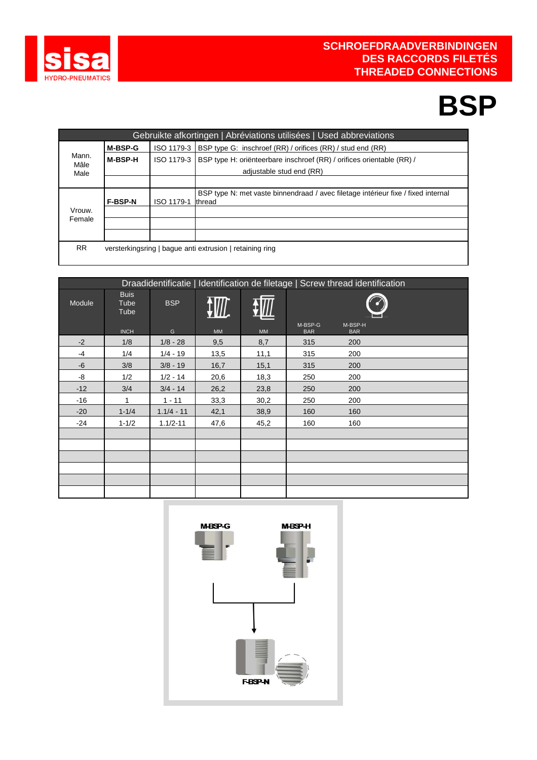

### **BSP**

|               |                |            | Gebruikte afkortingen   Abréviations utilisées   Used abbreviations               |
|---------------|----------------|------------|-----------------------------------------------------------------------------------|
|               | <b>M-BSP-G</b> | ISO 1179-3 | <b>BSP</b> type G: inschroef (RR) / orifices (RR) / stud end (RR)                 |
| Mann.<br>Mâle | <b>M-BSP-H</b> | ISO 1179-3 | BSP type H: oriënteerbare inschroef (RR) / orifices orientable (RR) /             |
| Male          |                |            | adiustable stud end (RR)                                                          |
|               |                |            |                                                                                   |
|               |                |            | BSP type N: met vaste binnendraad / avec filetage intérieur fixe / fixed internal |
|               | <b>F-BSP-N</b> | ISO 1179-1 | <b>Ithread</b>                                                                    |
| Vrouw.        |                |            |                                                                                   |
| Female        |                |            |                                                                                   |
|               |                |            |                                                                                   |
| RR.           |                |            | versterkingsring   baque anti extrusion   retaining ring                          |
|               |                |            |                                                                                   |

| Draadidentificatie   Identification de filetage   Screw thread identification |                             |              |      |      |                       |                       |  |
|-------------------------------------------------------------------------------|-----------------------------|--------------|------|------|-----------------------|-----------------------|--|
| Module                                                                        | <b>Buis</b><br>Tube<br>Tube | <b>BSP</b>   | W.   |      |                       |                       |  |
|                                                                               | <b>INCH</b>                 | G            | MM   | MM   | M-BSP-G<br><b>BAR</b> | M-BSP-H<br><b>BAR</b> |  |
| $-2$                                                                          | 1/8                         | $1/8 - 28$   | 9,5  | 8,7  | 315                   | 200                   |  |
| $-4$                                                                          | 1/4                         | $1/4 - 19$   | 13,5 | 11,1 | 315                   | 200                   |  |
| $-6$                                                                          | 3/8                         | $3/8 - 19$   | 16,7 | 15,1 | 315                   | 200                   |  |
| -8                                                                            | 1/2                         | $1/2 - 14$   | 20,6 | 18,3 | 250                   | 200                   |  |
| $-12$                                                                         | 3/4                         | $3/4 - 14$   | 26,2 | 23,8 | 250                   | 200                   |  |
| $-16$                                                                         | 1                           | $1 - 11$     | 33,3 | 30,2 | 250                   | 200                   |  |
| $-20$                                                                         | $1 - 1/4$                   | $1.1/4 - 11$ | 42,1 | 38,9 | 160                   | 160                   |  |
| -24                                                                           | $1 - 1/2$                   | $1.1/2 - 11$ | 47,6 | 45,2 | 160                   | 160                   |  |
|                                                                               |                             |              |      |      |                       |                       |  |
|                                                                               |                             |              |      |      |                       |                       |  |
|                                                                               |                             |              |      |      |                       |                       |  |
|                                                                               |                             |              |      |      |                       |                       |  |
|                                                                               |                             |              |      |      |                       |                       |  |
|                                                                               |                             |              |      |      |                       |                       |  |

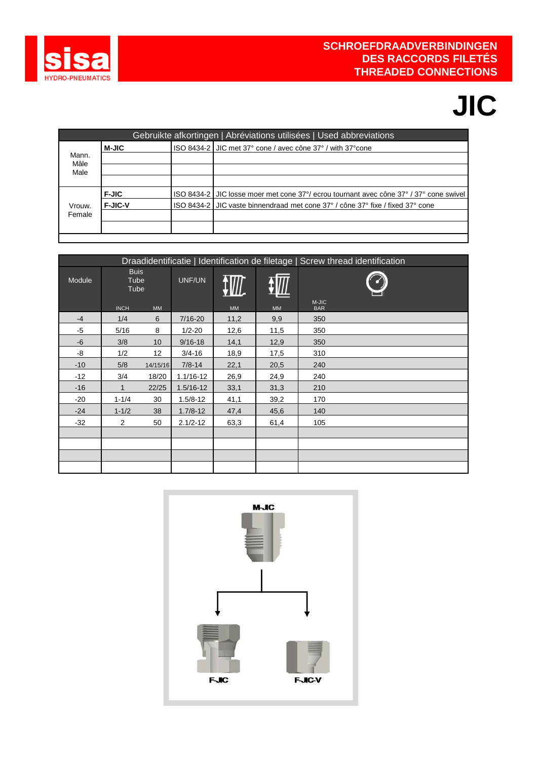

# **JIC**

| Gebruikte afkortingen   Abréviations utilisées   Used abbreviations |                |  |                                                                                        |  |  |  |  |  |
|---------------------------------------------------------------------|----------------|--|----------------------------------------------------------------------------------------|--|--|--|--|--|
|                                                                     | <b>M-JIC</b>   |  | ISO 8434-2 JJIC met 37° cone / avec cône 37° / with 37° cone                           |  |  |  |  |  |
| Mann.<br>Mâle                                                       |                |  |                                                                                        |  |  |  |  |  |
| Male                                                                |                |  |                                                                                        |  |  |  |  |  |
|                                                                     |                |  |                                                                                        |  |  |  |  |  |
|                                                                     | <b>F-JIC</b>   |  | ISO 8434-2 JJIC losse moer met cone 37°/ ecrou tournant avec cône 37°/ 37° cone swivel |  |  |  |  |  |
| Vrouw.                                                              | <b>F-JIC-V</b> |  | ISO 8434-2 JJC vaste binnendraad met cone 37° / cône 37° fixe / fixed 37° cone         |  |  |  |  |  |
| Female                                                              |                |  |                                                                                        |  |  |  |  |  |
|                                                                     |                |  |                                                                                        |  |  |  |  |  |
|                                                                     |                |  |                                                                                        |  |  |  |  |  |

|        | Draadidentificatie   Identification de filetage   Screw thread identification |           |               |      |      |            |  |  |  |  |  |
|--------|-------------------------------------------------------------------------------|-----------|---------------|------|------|------------|--|--|--|--|--|
| Module | <b>Buis</b><br>Tube<br>Tube                                                   |           | UNF/UN        |      |      | M-JIC      |  |  |  |  |  |
|        | <b>INCH</b>                                                                   | <b>MM</b> |               | MM   | MM   | <b>BAR</b> |  |  |  |  |  |
| $-4$   | 1/4                                                                           | 6         | $7/16 - 20$   | 11,2 | 9,9  | 350        |  |  |  |  |  |
| $-5$   | 5/16                                                                          | 8         | $1/2 - 20$    | 12,6 | 11,5 | 350        |  |  |  |  |  |
| $-6$   | 3/8                                                                           | 10        | $9/16 - 18$   | 14,1 | 12,9 | 350        |  |  |  |  |  |
| -8     | 1/2                                                                           | 12        | $3/4 - 16$    | 18,9 | 17,5 | 310        |  |  |  |  |  |
| $-10$  | 5/8                                                                           | 14/15/16  | $7/8 - 14$    | 22,1 | 20,5 | 240        |  |  |  |  |  |
| $-12$  | 3/4                                                                           | 18/20     | 1.1/16-12     | 26,9 | 24,9 | 240        |  |  |  |  |  |
| $-16$  | $\mathbf 1$                                                                   | 22/25     | $1.5/16 - 12$ | 33,1 | 31,3 | 210        |  |  |  |  |  |
| $-20$  | $1 - 1/4$                                                                     | 30        | $1.5/8 - 12$  | 41,1 | 39,2 | 170        |  |  |  |  |  |
| $-24$  | $1 - 1/2$                                                                     | 38        | $1.7/8 - 12$  | 47,4 | 45,6 | 140        |  |  |  |  |  |
| $-32$  | $\overline{2}$                                                                | 50        | $2.1/2 - 12$  | 63,3 | 61,4 | 105        |  |  |  |  |  |
|        |                                                                               |           |               |      |      |            |  |  |  |  |  |
|        |                                                                               |           |               |      |      |            |  |  |  |  |  |
|        |                                                                               |           |               |      |      |            |  |  |  |  |  |
|        |                                                                               |           |               |      |      |            |  |  |  |  |  |

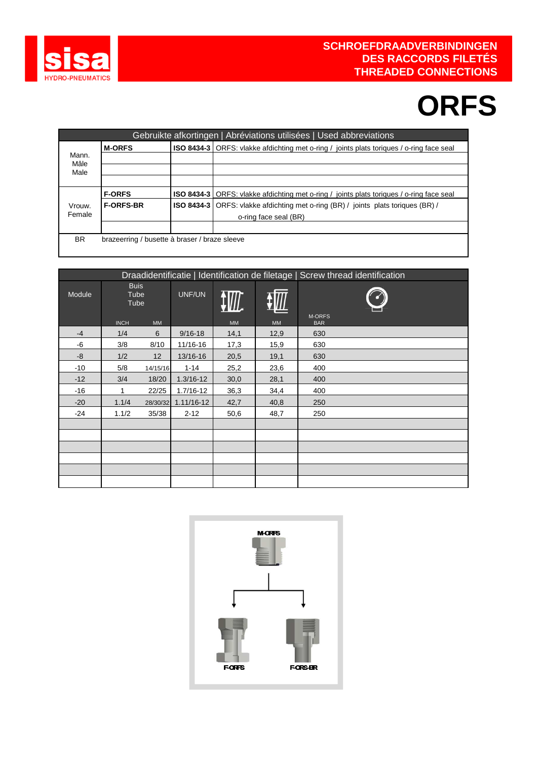

## **ORFS**

|               |                                               | Gebruikte afkortingen   Abréviations utilisées   Used abbreviations                             |
|---------------|-----------------------------------------------|-------------------------------------------------------------------------------------------------|
|               | <b>M-ORFS</b>                                 | <b>ISO 8434-3</b> ORFS: vlakke afdichting met o-ring / joints plats toriques / o-ring face seal |
| Mann.<br>Mâle |                                               |                                                                                                 |
| Male          |                                               |                                                                                                 |
|               |                                               |                                                                                                 |
|               | <b>F-ORFS</b>                                 | <b>ISO 8434-3</b> ORFS: vlakke afdichting met o-ring / joints plats toriques / o-ring face seal |
| Vrouw.        | <b>F-ORFS-BR</b>                              | <b>ISO 8434-3</b> ORFS: vlakke afdichting met o-ring (BR) / joints plats toriques (BR) /        |
| Female        |                                               | o-ring face seal (BR)                                                                           |
|               |                                               |                                                                                                 |
| <b>BR</b>     | brazeerring / busette à braser / braze sleeve |                                                                                                 |
|               |                                               |                                                                                                 |

|        |                                            |           |               |           |      | Draadidentificatie   Identification de filetage   Screw thread identification |
|--------|--------------------------------------------|-----------|---------------|-----------|------|-------------------------------------------------------------------------------|
| Module | <b>Buis</b><br>Tube<br>Tube<br><b>INCH</b> | <b>MM</b> | UNF/UN        | <b>MM</b> | MM   | M-ORFS<br><b>BAR</b>                                                          |
| $-4$   | 1/4                                        | 6         | $9/16 - 18$   | 14,1      | 12,9 | 630                                                                           |
| -6     | 3/8                                        | 8/10      | 11/16-16      | 17,3      | 15,9 | 630                                                                           |
| -8     | 1/2                                        | 12        | 13/16-16      | 20,5      | 19,1 | 630                                                                           |
| $-10$  | 5/8                                        | 14/15/16  | $1 - 14$      | 25,2      | 23,6 | 400                                                                           |
| $-12$  | 3/4                                        | 18/20     | $1.3/16 - 12$ | 30,0      | 28,1 | 400                                                                           |
| -16    | 1                                          | 22/25     | 1.7/16-12     | 36,3      | 34,4 | 400                                                                           |
| $-20$  | 1.1/4                                      | 28/30/32  | 1.11/16-12    | 42,7      | 40,8 | 250                                                                           |
| -24    | 1.1/2                                      | 35/38     | $2 - 12$      | 50,6      | 48,7 | 250                                                                           |
|        |                                            |           |               |           |      |                                                                               |
|        |                                            |           |               |           |      |                                                                               |
|        |                                            |           |               |           |      |                                                                               |
|        |                                            |           |               |           |      |                                                                               |
|        |                                            |           |               |           |      |                                                                               |
|        |                                            |           |               |           |      |                                                                               |

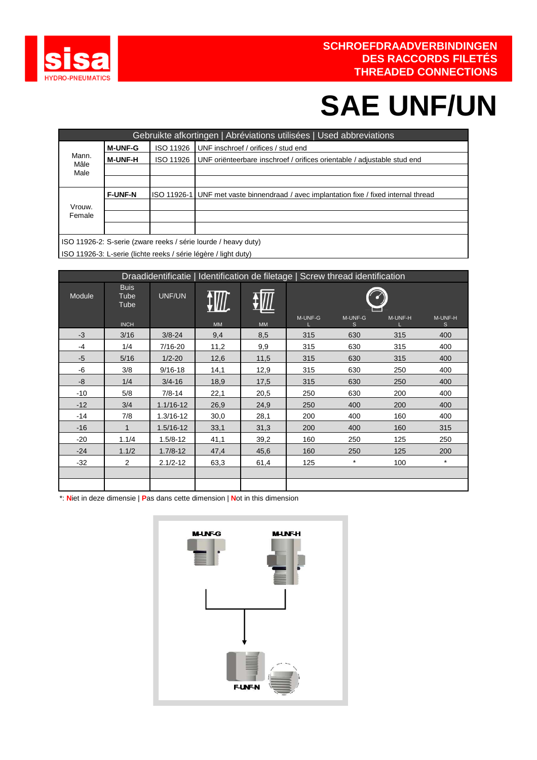

## **SAE UNF/UN**

|               |                |             | Gebruikte afkortingen   Abréviations utilisées   Used abbreviations        |
|---------------|----------------|-------------|----------------------------------------------------------------------------|
|               | <b>M-UNF-G</b> | ISO 11926   | UNF inschroef / orifices / stud end                                        |
| Mann.<br>Mâle | <b>M-UNF-H</b> | ISO 11926   | UNF oriënteerbare inschroef / orifices orientable / adjustable stud end    |
| Male          |                |             |                                                                            |
|               |                |             |                                                                            |
|               | <b>F-UNF-N</b> | ISO 11926-1 | UNF met vaste binnendraad / avec implantation fixe / fixed internal thread |
| Vrouw.        |                |             |                                                                            |
| Female        |                |             |                                                                            |
|               |                |             |                                                                            |
|               |                |             | ISO 11926-2: S-serie (zware reeks / série lourde / heavy duty)             |
|               |                |             |                                                                            |

ISO 11926-3: L-serie (lichte reeks / série légère / light duty)

|        |                             |               |           | Draadidentificatie   Identification de filetage   Screw thread identification |         |              |         |                         |
|--------|-----------------------------|---------------|-----------|-------------------------------------------------------------------------------|---------|--------------|---------|-------------------------|
| Module | <b>Buis</b><br>Tube<br>Tube | UNF/UN        |           |                                                                               |         |              |         |                         |
|        | <b>INCH</b>                 |               | <b>MM</b> | <b>MM</b>                                                                     | M-UNF-G | M-UNF-G<br>S | M-UNF-H | M-UNF-H<br><sub>S</sub> |
| $-3$   | 3/16                        | $3/8 - 24$    | 9,4       | 8,5                                                                           | 315     | 630          | 315     | 400                     |
| $-4$   | 1/4                         | 7/16-20       | 11,2      | 9,9                                                                           | 315     | 630          | 315     | 400                     |
| $-5$   | 5/16                        | $1/2 - 20$    | 12,6      | 11,5                                                                          | 315     | 630          | 315     | 400                     |
| -6     | 3/8                         | $9/16 - 18$   | 14,1      | 12,9                                                                          | 315     | 630          | 250     | 400                     |
| -8     | 1/4                         | $3/4 - 16$    | 18,9      | 17,5                                                                          | 315     | 630          | 250     | 400                     |
| $-10$  | 5/8                         | $7/8 - 14$    | 22,1      | 20,5                                                                          | 250     | 630          | 200     | 400                     |
| $-12$  | 3/4                         | $1.1/16 - 12$ | 26,9      | 24,9                                                                          | 250     | 400          | 200     | 400                     |
| $-14$  | 7/8                         | $1.3/16 - 12$ | 30,0      | 28,1                                                                          | 200     | 400          | 160     | 400                     |
| $-16$  | $\mathbf{1}$                | $1.5/16 - 12$ | 33,1      | 31,3                                                                          | 200     | 400          | 160     | 315                     |
| $-20$  | 1.1/4                       | $1.5/8 - 12$  | 41,1      | 39,2                                                                          | 160     | 250          | 125     | 250                     |
| $-24$  | 1.1/2                       | $1.7/8 - 12$  | 47,4      | 45,6                                                                          | 160     | 250          | 125     | 200                     |
| $-32$  | 2                           | $2.1/2 - 12$  | 63,3      | 61,4                                                                          | 125     | $\star$      | 100     | $\star$                 |
|        |                             |               |           |                                                                               |         |              |         |                         |
|        |                             |               |           |                                                                               |         |              |         |                         |

\*: **N**iet in deze dimensie | **P**as dans cette dimension | **N**ot in this dimension

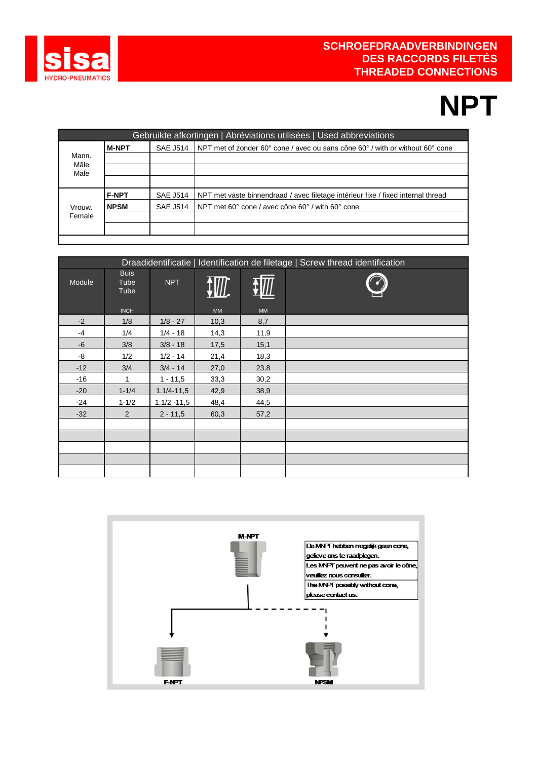

## **NPT**

|               |              |                 | Gebruikte afkortingen   Abréviations utilisées   Used abbreviations              |
|---------------|--------------|-----------------|----------------------------------------------------------------------------------|
|               | <b>M-NPT</b> | <b>SAE J514</b> | NPT met of zonder 60° cone / avec ou sans cône 60° / with or without 60° cone    |
| Mann.<br>Mâle |              |                 |                                                                                  |
| Male          |              |                 |                                                                                  |
|               |              |                 |                                                                                  |
|               | <b>F-NPT</b> | <b>SAE J514</b> | NPT met vaste binnendraad / avec filetage intérieur fixe / fixed internal thread |
| Vrouw.        | <b>NPSM</b>  | <b>SAE J514</b> | NPT met 60° cone / avec cône 60° / with 60° cone                                 |
| Female        |              |                 |                                                                                  |
|               |              |                 |                                                                                  |
|               |              |                 |                                                                                  |

|        |                             |                |           |      | Draadidentificatie   Identification de filetage   Screw thread identification |
|--------|-----------------------------|----------------|-----------|------|-------------------------------------------------------------------------------|
| Module | <b>Buis</b><br>Tube<br>Tube | <b>NPT</b>     | <b>WA</b> |      |                                                                               |
|        | <b>INCH</b>                 |                | MM        | MM   |                                                                               |
| $-2$   | 1/8                         | $1/8 - 27$     | 10,3      | 8,7  |                                                                               |
| $-4$   | 1/4                         | $1/4 - 18$     | 14,3      | 11,9 |                                                                               |
| -6     | 3/8                         | $3/8 - 18$     | 17,5      | 15,1 |                                                                               |
| -8     | 1/2                         | $1/2 - 14$     | 21,4      | 18,3 |                                                                               |
| $-12$  | 3/4                         | $3/4 - 14$     | 27,0      | 23,8 |                                                                               |
| $-16$  | 1                           | $1 - 11,5$     | 33,3      | 30,2 |                                                                               |
| $-20$  | $1 - 1/4$                   | $1.1/4 - 11,5$ | 42,9      | 38,9 |                                                                               |
| $-24$  | $1 - 1/2$                   | $1.1/2 - 11,5$ | 48,4      | 44,5 |                                                                               |
| $-32$  | $\overline{2}$              | $2 - 11,5$     | 60,3      | 57,2 |                                                                               |
|        |                             |                |           |      |                                                                               |
|        |                             |                |           |      |                                                                               |
|        |                             |                |           |      |                                                                               |
|        |                             |                |           |      |                                                                               |
|        |                             |                |           |      |                                                                               |

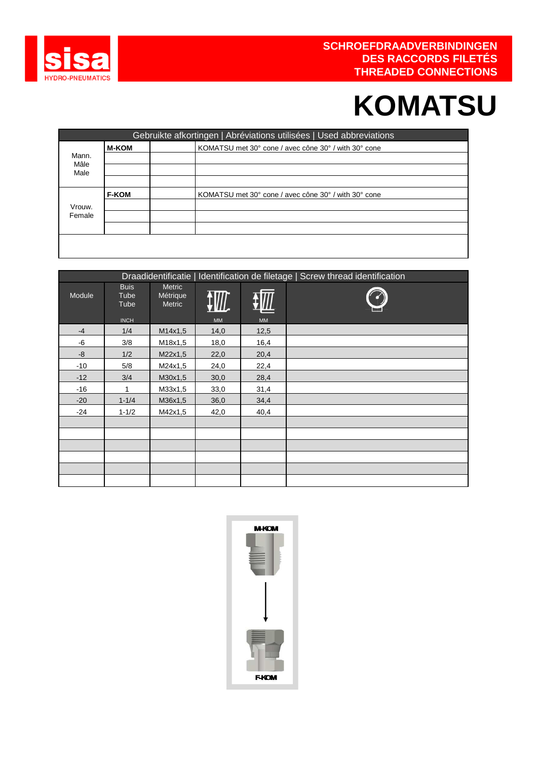

## **KOMATSU**

|               |              | Gebruikte afkortingen   Abréviations utilisées   Used abbreviations |
|---------------|--------------|---------------------------------------------------------------------|
|               | <b>M-KOM</b> | KOMATSU met 30° cone / avec cône 30° / with 30° cone                |
| Mann.<br>Mâle |              |                                                                     |
| Male          |              |                                                                     |
|               |              |                                                                     |
|               | <b>F-KOM</b> | KOMATSU met 30° cone / avec cône 30° / with 30° cone                |
| Vrouw.        |              |                                                                     |
| Female        |              |                                                                     |
|               |              |                                                                     |
|               |              |                                                                     |
|               |              |                                                                     |

|        |                                            |                                     |           |      | Draadidentificatie   Identification de filetage   Screw thread identification |
|--------|--------------------------------------------|-------------------------------------|-----------|------|-------------------------------------------------------------------------------|
| Module | <b>Buis</b><br>Tube<br>Tube<br><b>INCH</b> | <b>Metric</b><br>Métrique<br>Metric | <b>MM</b> | MM   |                                                                               |
| $-4$   | 1/4                                        | M14x1,5                             | 14,0      | 12,5 |                                                                               |
| -6     | 3/8                                        | M18x1,5                             | 18,0      | 16,4 |                                                                               |
| -8     | 1/2                                        | M22x1,5                             | 22,0      | 20,4 |                                                                               |
| $-10$  | 5/8                                        | M24x1,5                             | 24,0      | 22,4 |                                                                               |
| $-12$  | 3/4                                        | M30x1,5                             | 30,0      | 28,4 |                                                                               |
| $-16$  | 1                                          | M33x1,5                             | 33,0      | 31,4 |                                                                               |
| $-20$  | $1 - 1/4$                                  | M36x1,5                             | 36,0      | 34,4 |                                                                               |
| $-24$  | $1 - 1/2$                                  | M42x1,5                             | 42,0      | 40,4 |                                                                               |
|        |                                            |                                     |           |      |                                                                               |
|        |                                            |                                     |           |      |                                                                               |
|        |                                            |                                     |           |      |                                                                               |
|        |                                            |                                     |           |      |                                                                               |
|        |                                            |                                     |           |      |                                                                               |
|        |                                            |                                     |           |      |                                                                               |

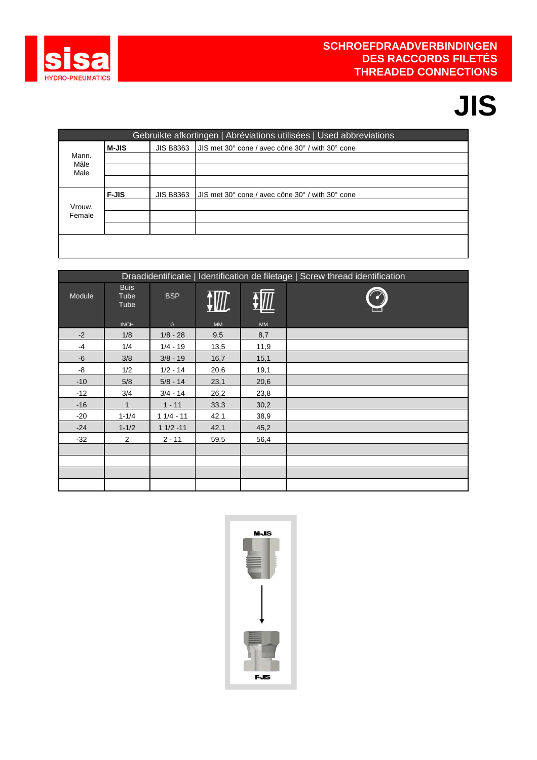

# **JIS**

|               |              |                  | Gebruikte afkortingen   Abréviations utilisées   Used abbreviations |
|---------------|--------------|------------------|---------------------------------------------------------------------|
|               | <b>M-JIS</b> | <b>JIS B8363</b> | I JIS met 30° cone / avec cône 30° / with 30° cone                  |
| Mann.<br>Mâle |              |                  |                                                                     |
| Male          |              |                  |                                                                     |
|               |              |                  |                                                                     |
|               | <b>F-JIS</b> | <b>JIS B8363</b> | UIS met 30° cone / avec cône 30° / with 30° cone                    |
| Vrouw.        |              |                  |                                                                     |
| Female        |              |                  |                                                                     |
|               |              |                  |                                                                     |
|               |              |                  |                                                                     |
|               |              |                  |                                                                     |

|        |                             |                          |      |           | Draadidentificatie   Identification de filetage   Screw thread identification |
|--------|-----------------------------|--------------------------|------|-----------|-------------------------------------------------------------------------------|
| Module | <b>Buis</b><br>Tube<br>Tube | <b>BSP</b>               |      |           |                                                                               |
| $-2$   | <b>INCH</b><br>1/8          | G                        | MM   | <b>MM</b> |                                                                               |
|        | 1/4                         | $1/8 - 28$<br>$1/4 - 19$ | 9,5  | 8,7       |                                                                               |
| $-4$   |                             |                          | 13,5 | 11,9      |                                                                               |
| $-6$   | 3/8                         | $3/8 - 19$               | 16,7 | 15,1      |                                                                               |
| -8     | 1/2                         | $1/2 - 14$               | 20,6 | 19,1      |                                                                               |
| $-10$  | 5/8                         | $5/8 - 14$               | 23,1 | 20,6      |                                                                               |
| $-12$  | 3/4                         | $3/4 - 14$               | 26,2 | 23,8      |                                                                               |
| $-16$  | 1                           | $1 - 11$                 | 33,3 | 30,2      |                                                                               |
| $-20$  | $1 - 1/4$                   | $11/4 - 11$              | 42,1 | 38,9      |                                                                               |
| $-24$  | $1 - 1/2$                   | $11/2 - 11$              | 42,1 | 45,2      |                                                                               |
| $-32$  | $\overline{2}$              | $2 - 11$                 | 59,5 | 56,4      |                                                                               |
|        |                             |                          |      |           |                                                                               |
|        |                             |                          |      |           |                                                                               |
|        |                             |                          |      |           |                                                                               |
|        |                             |                          |      |           |                                                                               |